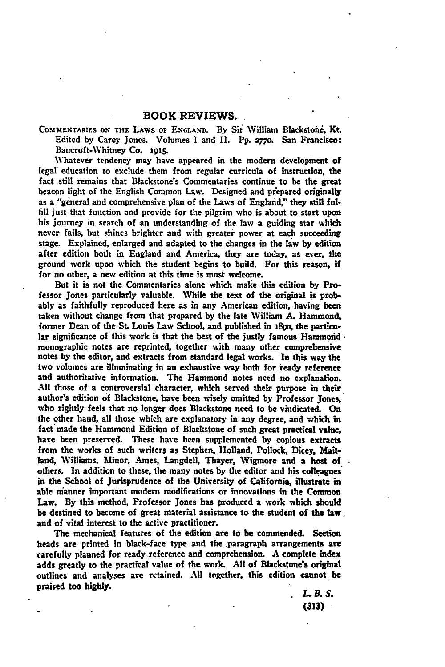## **BOOK REVIEWS.**

**COMMENTARIFS ON THE** LAWS **OF ENGLAND.** By Sir William Blackstoni, **Kt.** Edited **by** Carey Jones. Volumes **I** and **II.** Pp. **2770.** San Francisco: Bancroft-Whitney Co. **z915.**

Whatever tendency may have appeared in the modern development **of** legal education to exclude them from regular curricula of instruction, the fact still remains that Blackstone's Commentaries continue to be the **great** beacon light of the English Common Law. Designed and prepared originally as a "gineral and comprehensive plan of the Laws of England,' they **still** ful**fill** just that function and provide for the pilgrim who is about to start upon his journey in search of an understanding of the law a guiding star **which** never fails, but shines brighter and with greater power at each succeeding stage. Explained, enlarged and adapted to the changes in the **law by** edition after edition both in England and America, they are today, as ever, **the** ground work upon which the student begins to build. For this reason, if for no other, a new edition at this time is most welcome.

But it is not the Commentaries alone which make this edition **by** Professor Jones particularly valuable. While the text of the original is probably as faithfully reproduced here as in any American edition, having been taken without change from that prepared **by** the late William **A.** Hammond. former Dean of the St. Louis Law School, and published in **i8go,** the particular significance of this work is that the best of the justly famous **Hammoid•** monographic notes are reprinted, together with many other comprehensive notes **by** the editor, and extracts from standard legal works. In this way the two volumes are illuminating in an exhaustive way both for ready reference and authoritative information. The Hammond notes need no explanation. **All** those of a controversial character, which served their purpose in their author's edition of Blackstone, have been wisely omitted **by** Professor Jones, who rightly feels that no longer does Blackstone need to be vindicated. On the other hand, all those which are explanatory in any degree, and which in fact made the Hammond Edition of Blackstone of such great practical value, have been preserved. These have been supplemented by copious extracts from the works of such writers as Stephen, Holland, Pollock, Dicey, **Mait**land, Williams, Minor, Ames, Langdell, Thayer, Wigmore and a host **of** others. In addition to these, the many notes **by** the editor and his colleagues in the School of Jurisprudence of the University of California, illustrate in able nianner important modern modifications or innovations in the Common Law. **By** this method, Professor Jones has produced a work which should be destined to become of great material assistance to the student of the law. and of vital interest to the active practitioner.

The mechanical features of the edition are to be commended. Section heads are printed in black-face type and the paragraph arrangements are carefully planned for ready reference and comprehension. **A** complete index adds greatly to the practical value of the work. **All** of Blackstone's **original** outlines and analyses are retained. **All** together, this edition cannot be praised too **highly.**

*Z.B.* **S. (313)**